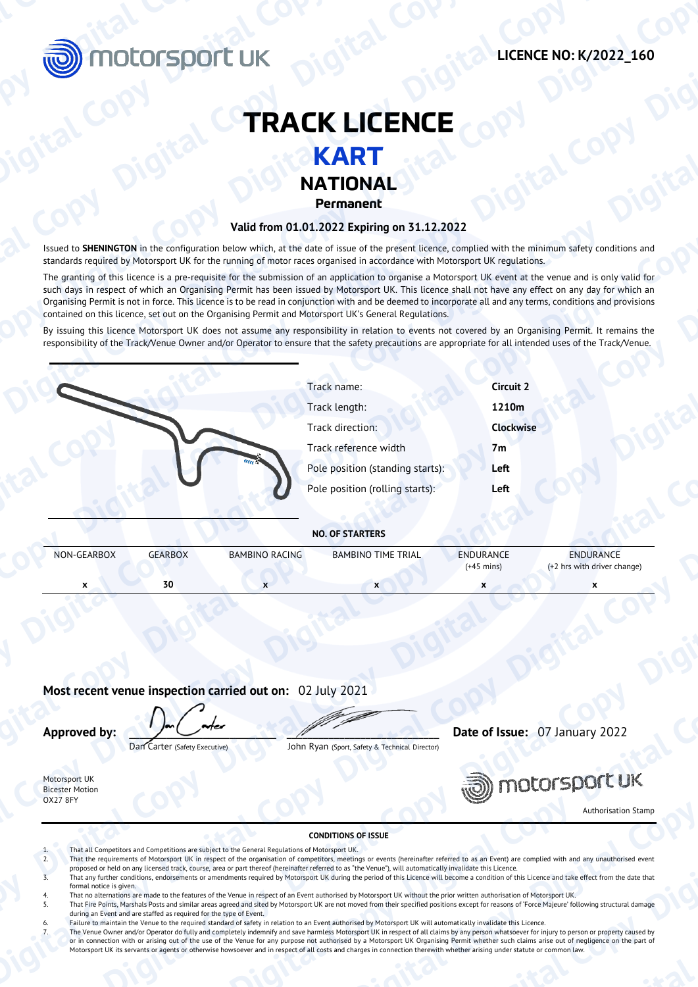

## **TRACK LICENCE KART**

## **NATIONAL**

### **Valid from 01.01.2022 Expiring on 31.12.2022**

Issued to **SHENINGTON** in the configuration below which, at the date of issue of the present licence, complied with the minimum safety conditions and standards required by Motorsport UK for the running of motor races organised in accordance with Motorsport UK regulations. **Digital Copy**<br> **Digital Copy Digital Copy RACK LICENCE**<br> **EXART**<br>
Stated to SHENNGTON in the configuration below Motor spect of the currence of the currence of the copy and and condition copy and and condition copy and an

The granting of this licence is a pre-requisite for the submission of an application to organise a Motorsport UK event at the venue and is only valid for such days in respect of which an Organising Permit has been issued by Motorsport UK. This licence shall not have any effect on any day for which an Organising Permit is not in force. This licence is to be read in conjunction with and be deemed to incorporate all and any terms, conditions and provisions contained on this licence, set out on the Organising Permit and Motorsport UK's General Regulations. **COPY**<br> **COPY**<br> **COPY**<br> **COPY**<br> **COPY**<br> **COPY**<br> **COPY**<br> **COPY**<br> **COPY**<br> **COPY**<br> **COPY**<br> **COPY**<br> **COPY**<br> **COPY**<br> **COPY**<br> **COPY**<br> **COPY**<br> **COPY**<br> **COPY**<br> **COPY**<br> **COPY**<br> **COPY**<br> **COPY**<br> **COPY**<br> **COPY**<br> **COPY**<br> **COPY**<br> **COPY DIGITAL COPY ANTIONAL Valid from 01.01.2022**<br>
Stated to SHENINGTON in the configurable blue which, at the date of issue of the present licence, compiled with the minimum safety or<br>
Valid from 01.01.2022 Expiring on 31.12.

|                                                                           |                                  | <b>TRACK LICENCE</b>                                                                                                       |                                                                                                                                                                                                                                                                                                                                                                                                                                                                                 |
|---------------------------------------------------------------------------|----------------------------------|----------------------------------------------------------------------------------------------------------------------------|---------------------------------------------------------------------------------------------------------------------------------------------------------------------------------------------------------------------------------------------------------------------------------------------------------------------------------------------------------------------------------------------------------------------------------------------------------------------------------|
|                                                                           |                                  | <b>KART</b>                                                                                                                |                                                                                                                                                                                                                                                                                                                                                                                                                                                                                 |
|                                                                           |                                  | <b>NATIONAL</b>                                                                                                            |                                                                                                                                                                                                                                                                                                                                                                                                                                                                                 |
|                                                                           |                                  | Permanent                                                                                                                  |                                                                                                                                                                                                                                                                                                                                                                                                                                                                                 |
|                                                                           |                                  | Valid from 01.01.2022 Expiring on 31.12.2022                                                                               |                                                                                                                                                                                                                                                                                                                                                                                                                                                                                 |
|                                                                           |                                  |                                                                                                                            | Issued to SHENINGTON in the configuration below which, at the date of issue of the present licence, complied with the minimum safety conditions and                                                                                                                                                                                                                                                                                                                             |
|                                                                           |                                  | standards required by Motorsport UK for the running of motor races organised in accordance with Motorsport UK regulations. |                                                                                                                                                                                                                                                                                                                                                                                                                                                                                 |
|                                                                           |                                  | contained on this licence, set out on the Organising Permit and Motorsport UK's General Regulations.                       | The granting of this licence is a pre-requisite for the submission of an application to organise a Motorsport UK event at the venue and is only valid for<br>such days in respect of which an Organising Permit has been issued by Motorsport UK. This licence shall not have any effect on any day for which an<br>Organising Permit is not in force. This licence is to be read in conjunction with and be deemed to incorporate all and any terms, conditions and provisions |
|                                                                           |                                  |                                                                                                                            | By issuing this licence Motorsport UK does not assume any responsibility in relation to events not covered by an Organising Permit. It remains the                                                                                                                                                                                                                                                                                                                              |
|                                                                           |                                  |                                                                                                                            | responsibility of the Track/Venue Owner and/or Operator to ensure that the safety precautions are appropriate for all intended uses of the Track/Venue.                                                                                                                                                                                                                                                                                                                         |
|                                                                           |                                  | Track name:                                                                                                                | <b>Circuit 2</b>                                                                                                                                                                                                                                                                                                                                                                                                                                                                |
|                                                                           |                                  | Track length:                                                                                                              | 1210m                                                                                                                                                                                                                                                                                                                                                                                                                                                                           |
|                                                                           |                                  | Track direction:                                                                                                           | <b>Clockwise</b>                                                                                                                                                                                                                                                                                                                                                                                                                                                                |
|                                                                           |                                  | Track reference width                                                                                                      | 7m                                                                                                                                                                                                                                                                                                                                                                                                                                                                              |
|                                                                           |                                  | Pole position (standing starts):                                                                                           | Left                                                                                                                                                                                                                                                                                                                                                                                                                                                                            |
|                                                                           |                                  | Pole position (rolling starts):                                                                                            | Left                                                                                                                                                                                                                                                                                                                                                                                                                                                                            |
|                                                                           |                                  |                                                                                                                            |                                                                                                                                                                                                                                                                                                                                                                                                                                                                                 |
|                                                                           |                                  | <b>NO. OF STARTERS</b>                                                                                                     |                                                                                                                                                                                                                                                                                                                                                                                                                                                                                 |
| NON-GEARBOX                                                               | GEARBOX<br><b>BAMBINO RACING</b> | <b>BAMBINO TIME TRIAL</b>                                                                                                  | ENDURANCE<br>ENDURANCE<br>$(+45$ mins)<br>(+2 hrs with driver change)                                                                                                                                                                                                                                                                                                                                                                                                           |
|                                                                           | 30 <sub>2</sub>                  |                                                                                                                            | x                                                                                                                                                                                                                                                                                                                                                                                                                                                                               |
| Most recent venue inspection carried out on: 02 July 2021<br>Approved by: |                                  |                                                                                                                            | Date of Issue: 07 January 2022                                                                                                                                                                                                                                                                                                                                                                                                                                                  |
|                                                                           | Dan Carter (Safety Executive)    | John Ryan (Sport, Safety & Technical Director)                                                                             |                                                                                                                                                                                                                                                                                                                                                                                                                                                                                 |
| Motorsport UK<br><b>Bicester Motion</b>                                   |                                  |                                                                                                                            | motorsport uk                                                                                                                                                                                                                                                                                                                                                                                                                                                                   |
| <b>OX27 8FY</b>                                                           |                                  |                                                                                                                            | <b>Authorisation Stamp</b>                                                                                                                                                                                                                                                                                                                                                                                                                                                      |
|                                                                           |                                  |                                                                                                                            |                                                                                                                                                                                                                                                                                                                                                                                                                                                                                 |

### **Most recent venue inspection carried out on:** 02 July 2021



# **CONDITIONS OF ISSUE** 1. That all Competitors and Competitions are subject to the General Regulations of Motorsport UK. That the requirements of Motorsport UK in respect of the organisation of competitors, meetings or events (hereinafter referred to as an Event) are complied with and any unauthorised event proposed or held on any licensed track, course, area or part thereof (hereinafter referred to as "the Venue"), will automatically invalidate this Licence. That any further conditions, endorsements or amendments required by Motorsport UK during the period of this Licence will become a condition of this Licence and take effect from the date that formal notice is given. That no alternations are made to the features of the Venue in respect of an Event authorised by Motorsport UK without the prior written authorisation of Motorsport UK. That Fire Points, Marshals Posts and similar areas agreed and sited by Motorsport UK are not moved from their specified positions except for reasons of 'Force Majeure' following structural damage during an Event and are staffed as required for the type of Event. 6. Failure to maintain the Venue to the required standard of safety in relation to an Event authorised by Motorsport UK will automatically invalidate this Licence.<br>7. The Venue Owner and/or Operator do fully and completely or in connection with or arising out of the use of the Venue for any purpose not authorised by a Motorsport UK Organising Permit whether such claims arise out of negligence on the part of Motorsport UK its servants or agents or otherwise howsoever and in respect of all costs and charges in connection therewith whether arising under statute or common law. **Copy**  $\frac{1}{\sqrt{2}}$  **Digital Copy and Copy and Copy and Copy and Copy and Copy and Copy and Copy and Copy and Copy and Copy and Copy and Copy and Copy and Copy and Copy and Copy and Copy and Copy and Copy and Copy and Copy NO. OF STATERS**<br>
VON-CEABOX CEABOX BANBINO BACING BRABINO TIME TRIAL BROUGANCE<br> **Digital Constrainers**<br> **Digital Constrainers (2001)**<br> **Digital Copy Digital Copy Digital Copy Digital Copy Digital Copy Digital Copy Digita Copy and the entries of the control control copy and the control copy**  $\frac{1}{2}$  **(D)**  $\frac{1}{2}$  (D)  $\frac{1}{2}$  (D)  $\frac{1}{2}$  (D)  $\frac{1}{2}$  (D)  $\frac{1}{2}$  (D)  $\frac{1}{2}$  (D)  $\frac{1}{2}$  (D)  $\frac{1}{2}$  (D)  $\frac{1}{2}$  (D)  $\frac{1}{2}$ **Dark Catter (Scher, Dark Copy Digital Copy Digital Copy Digital Copy Digital Copy Digital Copy Digital Copy Digital Copy Digital Copy Digital Copy Digital Copy Digital Copy Digital Copy Digital Copy Digital Copy Digital C Conserverse Copyright Copyright Copyright Copyright Copyright Copyright Copyright Copyright Copyright Copyright Copyright Copyright Copyright Copyright Copyright Copyright Copyright Copyright Copyright Copyright Copyright**